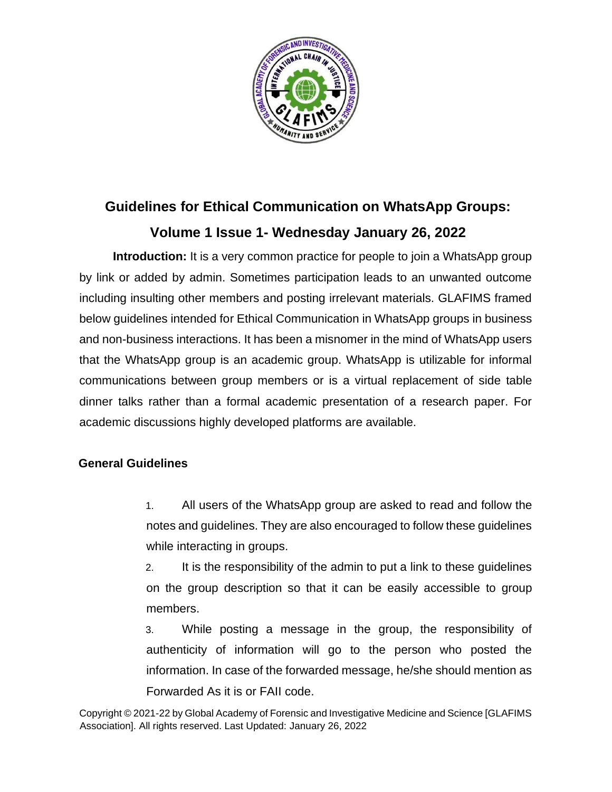

## **Guidelines for Ethical Communication on WhatsApp Groups: Volume 1 Issue 1- Wednesday January 26, 2022**

**Introduction:** It is a very common practice for people to join a WhatsApp group by link or added by admin. Sometimes participation leads to an unwanted outcome including insulting other members and posting irrelevant materials. GLAFIMS framed below guidelines intended for Ethical Communication in WhatsApp groups in business and non-business interactions. It has been a misnomer in the mind of WhatsApp users that the WhatsApp group is an academic group. WhatsApp is utilizable for informal communications between group members or is a virtual replacement of side table dinner talks rather than a formal academic presentation of a research paper. For academic discussions highly developed platforms are available.

## **General Guidelines**

1. All users of the WhatsApp group are asked to read and follow the notes and guidelines. They are also encouraged to follow these guidelines while interacting in groups.

2. It is the responsibility of the admin to put a link to these guidelines on the group description so that it can be easily accessible to group members.

3. While posting a message in the group, the responsibility of authenticity of information will go to the person who posted the information. In case of the forwarded message, he/she should mention as Forwarded As it is or FAII code.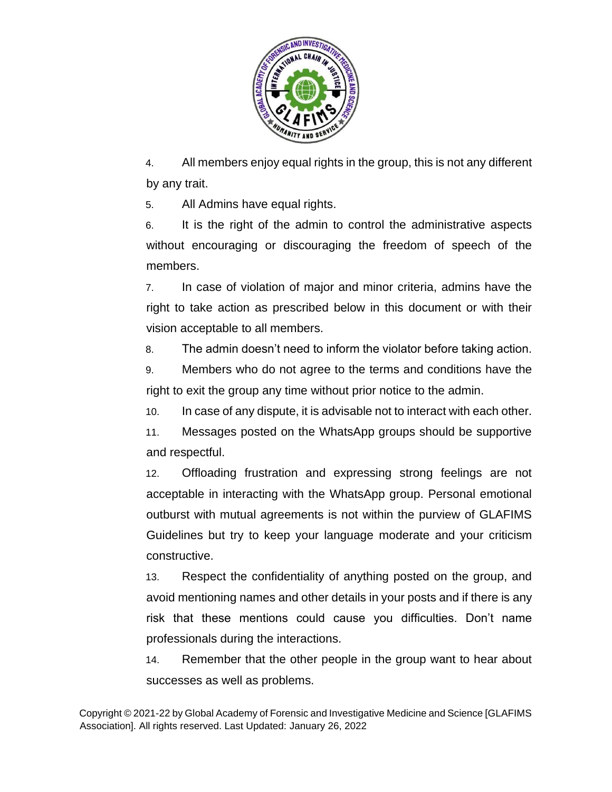

4. All members enjoy equal rights in the group, this is not any different by any trait.

5. All Admins have equal rights.

6. It is the right of the admin to control the administrative aspects without encouraging or discouraging the freedom of speech of the members.

7. In case of violation of major and minor criteria, admins have the right to take action as prescribed below in this document or with their vision acceptable to all members.

8. The admin doesn't need to inform the violator before taking action.

9. Members who do not agree to the terms and conditions have the right to exit the group any time without prior notice to the admin.

10. In case of any dispute, it is advisable not to interact with each other.

11. Messages posted on the WhatsApp groups should be supportive and respectful.

12. Offloading frustration and expressing strong feelings are not acceptable in interacting with the WhatsApp group. Personal emotional outburst with mutual agreements is not within the purview of GLAFIMS Guidelines but try to keep your language moderate and your criticism constructive.

13. Respect the confidentiality of anything posted on the group, and avoid mentioning names and other details in your posts and if there is any risk that these mentions could cause you difficulties. Don't name professionals during the interactions.

14. Remember that the other people in the group want to hear about successes as well as problems.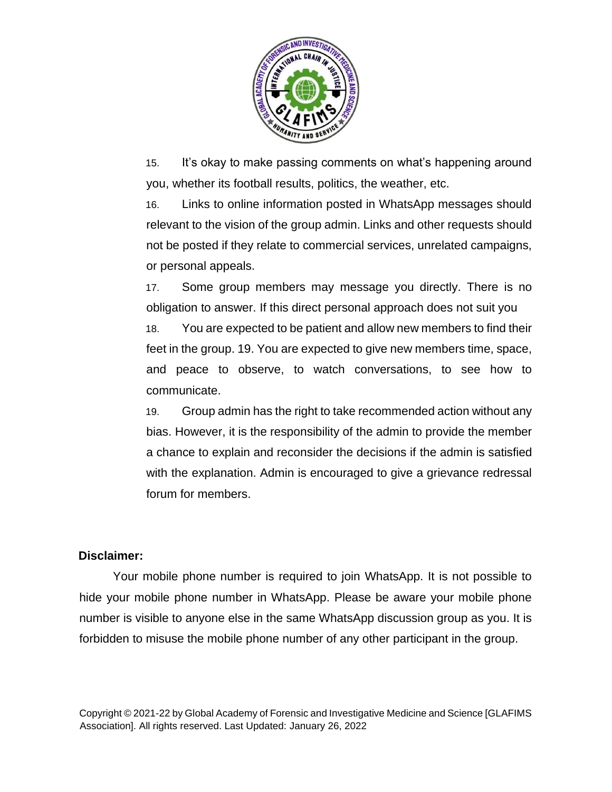

15. It's okay to make passing comments on what's happening around you, whether its football results, politics, the weather, etc.

16. Links to online information posted in WhatsApp messages should relevant to the vision of the group admin. Links and other requests should not be posted if they relate to commercial services, unrelated campaigns, or personal appeals.

17. Some group members may message you directly. There is no obligation to answer. If this direct personal approach does not suit you 18. You are expected to be patient and allow new members to find their feet in the group. 19. You are expected to give new members time, space, and peace to observe, to watch conversations, to see how to communicate.

19. Group admin has the right to take recommended action without any bias. However, it is the responsibility of the admin to provide the member a chance to explain and reconsider the decisions if the admin is satisfied with the explanation. Admin is encouraged to give a grievance redressal forum for members.

## **Disclaimer:**

Your mobile phone number is required to join WhatsApp. It is not possible to hide your mobile phone number in WhatsApp. Please be aware your mobile phone number is visible to anyone else in the same WhatsApp discussion group as you. It is forbidden to misuse the mobile phone number of any other participant in the group.

Copyright © 2021-22 by Global Academy of Forensic and Investigative Medicine and Science [GLAFIMS Association]. All rights reserved. Last Updated: January 26, 2022